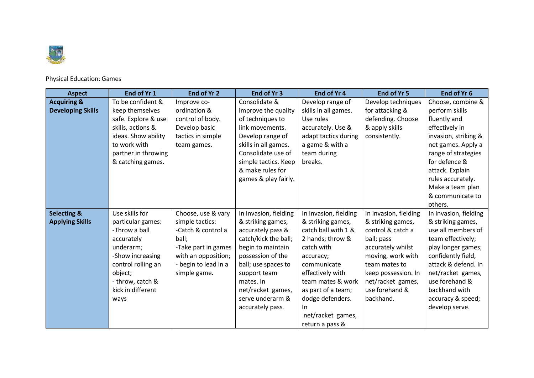

## Physical Education: Games

| <b>Aspect</b>            | End of Yr 1         | End of Yr 2          | End of Yr 3           | End of Yr 4           | End of Yr 5           | End of Yr 6           |
|--------------------------|---------------------|----------------------|-----------------------|-----------------------|-----------------------|-----------------------|
| <b>Acquiring &amp;</b>   | To be confident &   | Improve co-          | Consolidate &         | Develop range of      | Develop techniques    | Choose, combine &     |
| <b>Developing Skills</b> | keep themselves     | ordination &         | improve the quality   | skills in all games.  | for attacking &       | perform skills        |
|                          | safe. Explore & use | control of body.     | of techniques to      | Use rules             | defending. Choose     | fluently and          |
|                          | skills, actions &   | Develop basic        | link movements.       | accurately. Use &     | & apply skills        | effectively in        |
|                          | ideas. Show ability | tactics in simple    | Develop range of      | adapt tactics during  | consistently.         | invasion, striking &  |
|                          | to work with        | team games.          | skills in all games.  | a game & with a       |                       | net games. Apply a    |
|                          | partner in throwing |                      | Consolidate use of    | team during           |                       | range of strategies   |
|                          | & catching games.   |                      | simple tactics. Keep  | breaks.               |                       | for defence &         |
|                          |                     |                      | & make rules for      |                       |                       | attack. Explain       |
|                          |                     |                      | games & play fairly.  |                       |                       | rules accurately.     |
|                          |                     |                      |                       |                       |                       | Make a team plan      |
|                          |                     |                      |                       |                       |                       | & communicate to      |
|                          |                     |                      |                       |                       |                       | others.               |
| <b>Selecting &amp;</b>   | Use skills for      | Choose, use & vary   | In invasion, fielding | In invasion, fielding | In invasion, fielding | In invasion, fielding |
| <b>Applying Skills</b>   | particular games:   | simple tactics:      | & striking games,     | & striking games,     | & striking games,     | & striking games,     |
|                          | -Throw a ball       | -Catch & control a   | accurately pass &     | catch ball with 1 &   | control & catch a     | use all members of    |
|                          | accurately          | ball;                | catch/kick the ball;  | 2 hands; throw &      | ball; pass            | team effectively;     |
|                          | underarm;           | -Take part in games  | begin to maintain     | catch with            | accurately whilst     | play longer games;    |
|                          | -Show increasing    | with an opposition;  | possession of the     | accuracy;             | moving, work with     | confidently field,    |
|                          | control rolling an  | - begin to lead in a | ball; use spaces to   | communicate           | team mates to         | attack & defend. In   |
|                          | object;             | simple game.         | support team          | effectively with      | keep possession. In   | net/racket games,     |
|                          | - throw, catch &    |                      | mates. In             | team mates & work     | net/racket games,     | use forehand &        |
|                          | kick in different   |                      | net/racket games,     | as part of a team;    | use forehand &        | backhand with         |
|                          | ways                |                      | serve underarm &      | dodge defenders.      | backhand.             | accuracy & speed;     |
|                          |                     |                      | accurately pass.      | In                    |                       | develop serve.        |
|                          |                     |                      |                       | net/racket games,     |                       |                       |
|                          |                     |                      |                       | return a pass &       |                       |                       |